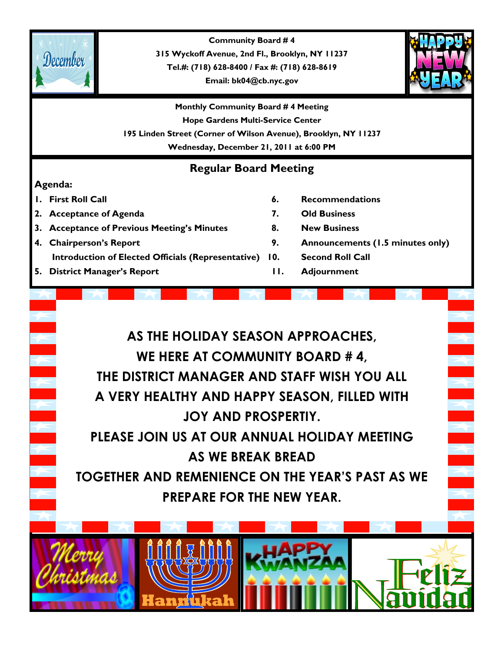

**Community Board # 4 315 Wyckoff Avenue, 2nd Fl., Brooklyn, NY 11237 Tel.#: (718) 628-8400 / Fax #: (718) 628-8619**

**Email: bk04@cb.nyc.gov**



**Monthly Community Board # 4 Meeting Hope Gardens Multi-Service Center 195 Linden Street (Corner of Wilson Avenue), Brooklyn, NY 11237 Wednesday, December 21, 2011 at 6:00 PM**

### **Regular Board Meeting**

#### **Agenda:**

- 
- **2. Acceptance of Agenda 7. Old Business**
- **3. Acceptance of Previous Meeting's Minutes 8. New Business**
- **4. Chairperson's Report 9. Announcements (1.5 minutes only) Introduction of Elected Officials (Representative) 10. Second Roll Call**
- **5. District Manager's Report 11. Adjournment**
- **1. First Roll Call 6. Recommendations**
	-
	-
	-
	-
	-

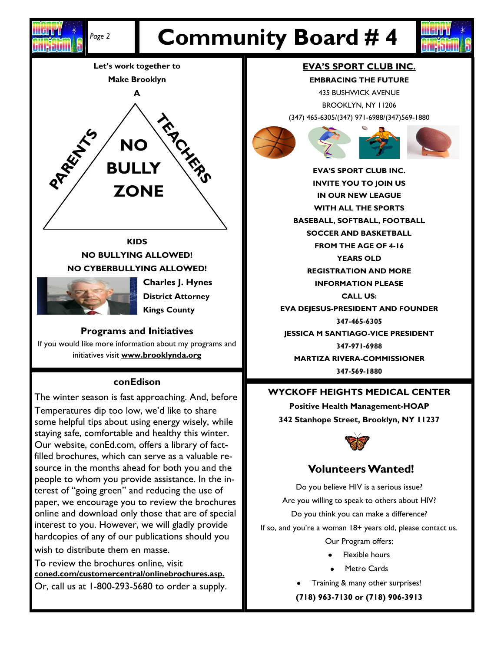

#### **KIDS NO BULLYING ALLOWED! NO CYBERBULLYING ALLOWED!**



**Charles J. Hynes District Attorney Kings County**

#### **Programs and Initiatives**

If you would like more information about my programs and initiatives visit **www.brooklynda.org**

#### **conEdison**

The winter season is fast approaching. And, before Temperatures dip too low, we'd like to share some helpful tips about using energy wisely, while staying safe, comfortable and healthy this winter. Our website, conEd.com, offers a library of factfilled brochures, which can serve as a valuable resource in the months ahead for both you and the people to whom you provide assistance. In the interest of "going green" and reducing the use of paper, we encourage you to review the brochures online and download only those that are of special interest to you. However, we will gladly provide hardcopies of any of our publications should you wish to distribute them en masse.

To review the brochures online, visit **coned.com/customercentral/onlinebrochures.asp.**  Or, call us at 1-800-293-5680 to order a supply.

#### **EVA'S SPORT CLUB INC.**

Ghriadh

**EMBRACING THE FUTURE** 435 BUSHWICK AVENUE

BROOKLYN, NY 11206 (347) 465-6305/(347) 971-6988/(347)569-1880



**EVA'S SPORT CLUB INC. INVITE YOU TO JOIN US IN OUR NEW LEAGUE WITH ALL THE SPORTS BASEBALL, SOFTBALL, FOOTBALL SOCCER AND BASKETBALL FROM THE AGE OF 4-16 YEARS OLD REGISTRATION AND MORE INFORMATION PLEASE CALL US: EVA DEJESUS-PRESIDENT AND FOUNDER 347-465-6305 JESSICA M SANTIAGO-VICE PRESIDENT 347-971-6988 MARTIZA RIVERA-COMMISSIONER 347-569-1880**

#### **WYCKOFF HEIGHTS MEDICAL CENTER**

**Positive Health Management-HOAP 342 Stanhope Street, Brooklyn, NY 11237**



#### **Volunteers Wanted!**

Do you believe HIV is a serious issue? Are you willing to speak to others about HIV? Do you think you can make a difference? If so, and you're a woman 18+ years old, please contact us. Our Program offers:

- Flexible hours
- Metro Cards
- Training & many other surprises!
- **(718) 963-7130 or (718) 906-3913**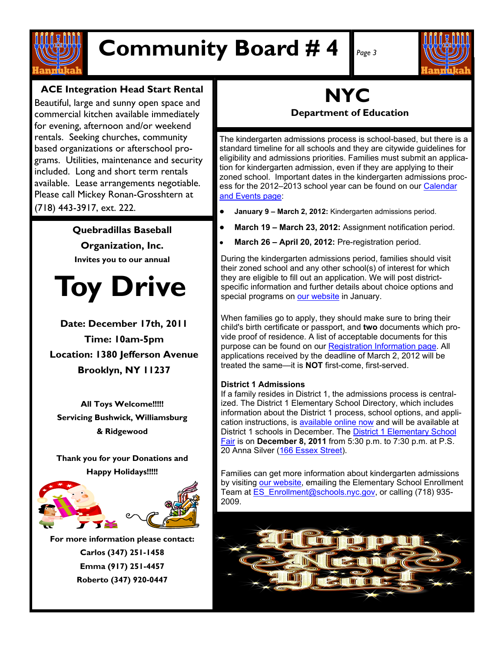

## **Community Board # 4** *Page 3*



#### **ACE Integration Head Start Rental**

Beautiful, large and sunny open space and commercial kitchen available immediately for evening, afternoon and/or weekend rentals. Seeking churches, community based organizations or afterschool programs. Utilities, maintenance and security included. Long and short term rentals available. Lease arrangements negotiable. Please call Mickey Ronan-Grosshtern at (718) 443-3917, ext. 222.

> **Quebradillas Baseball Organization, Inc. Invites you to our annual**

# **Toy Drive**

**Date: December 17th, 2011 Time: 10am-5pm Location: 1380 Jefferson Avenue Brooklyn, NY 11237**

**All Toys Welcome!!!!! Servicing Bushwick, Williamsburg & Ridgewood**

**Thank you for your Donations and Happy Holidays!!!!!**



**For more information please contact: Carlos (347) 251-1458 Emma (917) 251-4457 Roberto (347) 920-0447**

## **NYC**

**Department of Education**

The kindergarten admissions process is school-based, but there is a standard timeline for all schools and they are citywide guidelines for eligibility and admissions priorities. Families must submit an application for kindergarten admission, even if they are applying to their zoned school. Important dates in the kindergarten admissions process for the 2012–2013 school year can be found on our [Calendar](https://webmail.nyc.gov/exchweb/bin/redir.asp?URL=http://app.bronto.com/public/?q=ulink%26fn=Link%26ssid=4776%26id=i28740t9dyz55ovmnq6zlpopquum8%26id2=jx23izei5zf8ogfgoboyv2rhmy27i%26subscriber_id=biihtedqyzuemmkeyqiealvvisalblp%26delivery_id=aeovfzhrawaskucy)  [and Events page:](https://webmail.nyc.gov/exchweb/bin/redir.asp?URL=http://app.bronto.com/public/?q=ulink%26fn=Link%26ssid=4776%26id=i28740t9dyz55ovmnq6zlpopquum8%26id2=jx23izei5zf8ogfgoboyv2rhmy27i%26subscriber_id=biihtedqyzuemmkeyqiealvvisalblp%26delivery_id=aeovfzhrawaskucy)

- **January 9 – March 2, 2012:** Kindergarten admissions period.
- **March 19 – March 23, 2012:** Assignment notification period.
- **March 26 – April 20, 2012:** Pre-registration period.

During the kindergarten admissions period, families should visit their zoned school and any other school(s) of interest for which they are eligible to fill out an application. We will post districtspecific information and further details about choice options and special programs on [our website](https://webmail.nyc.gov/exchweb/bin/redir.asp?URL=http://app.bronto.com/public/?q=ulink%26fn=Link%26ssid=4776%26id=i28740t9dyz55ovmnq6zlpopquum8%26id2=ga5aiugbk83vcveqh36b2pqv39pva%26subscriber_id=biihtedqyzuemmkeyqiealvvisalblp%26delivery_id=aeovfzhrawaskucy) in January.

When families go to apply, they should make sure to bring their child's birth certificate or passport, and **two** documents which provide proof of residence. A list of acceptable documents for this purpose can be found on our [Registration Information page.](https://webmail.nyc.gov/exchweb/bin/redir.asp?URL=http://app.bronto.com/public/?q=ulink%26fn=Link%26ssid=4776%26id=i28740t9dyz55ovmnq6zlpopquum8%26id2=6385z8p6nopg12n11giuwx01jypbt%26subscriber_id=biihtedqyzuemmkeyqiealvvisalblp%26delivery_id=aeovfzhrawaskucy) All applications received by the deadline of March 2, 2012 will be treated the same—it is **NOT** first-come, first-served.

#### **District 1 Admissions**

If a family resides in District 1, the admissions process is centralized. The District 1 Elementary School Directory, which includes information about the District 1 process, school options, and application instructions, is [available online now](https://webmail.nyc.gov/exchweb/bin/redir.asp?URL=http://app.bronto.com/public/?q=ulink%26fn=Link%26ssid=4776%26id=i28740t9dyz55ovmnq6zlpopquum8%26id2=7le2ah08lqdapeupinxq3x9er8zut%26subscriber_id=biihtedqyzuemmkeyqiealvvisalblp%26delivery_id=aeovfzhrawaskucy) and will be available at District 1 schools in December. The [District 1 Elementary School](https://webmail.nyc.gov/exchweb/bin/redir.asp?URL=http://app.bronto.com/public/?q=ulink%26fn=Link%26ssid=4776%26id=i28740t9dyz55ovmnq6zlpopquum8%26id2=8m1uxg1i3k3sitwrnpxquk709m4i8%26subscriber_id=biihtedqyzuemmkeyqiealvvisalblp%26delivery_id=aeovfzhrawaskucy)  [Fair](https://webmail.nyc.gov/exchweb/bin/redir.asp?URL=http://app.bronto.com/public/?q=ulink%26fn=Link%26ssid=4776%26id=i28740t9dyz55ovmnq6zlpopquum8%26id2=8m1uxg1i3k3sitwrnpxquk709m4i8%26subscriber_id=biihtedqyzuemmkeyqiealvvisalblp%26delivery_id=aeovfzhrawaskucy) is on **December 8, 2011** from 5:30 p.m. to 7:30 p.m. at P.S. 20 Anna Silver ([166 Essex Street\)](https://webmail.nyc.gov/exchweb/bin/redir.asp?URL=http://app.bronto.com/public/?q=ulink%26fn=Link%26ssid=4776%26id=i28740t9dyz55ovmnq6zlpopquum8%26id2=4jenzq36oy5bao0mah4pjbwg168w6%26subscriber_id=biihtedqyzuemmkeyqiealvvisalblp%26delivery_id=aeovfzhrawaskucy).

Families can get more information about kindergarten admissions by visiting [our website,](https://webmail.nyc.gov/exchweb/bin/redir.asp?URL=http://app.bronto.com/public/?q=ulink%26fn=Link%26ssid=4776%26id=i28740t9dyz55ovmnq6zlpopquum8%26id2=1sciqyfe43yu2i6aswzcqyeban6uq%26subscriber_id=biihtedqyzuemmkeyqiealvvisalblp%26delivery_id=aeovfzhrawaskucy) emailing the Elementary School Enrollment Team at [ES\\_Enrollment@schools.nyc.gov,](mailto:ES_Enrollment@schools.nyc.gov) or calling (718) 935-2009.

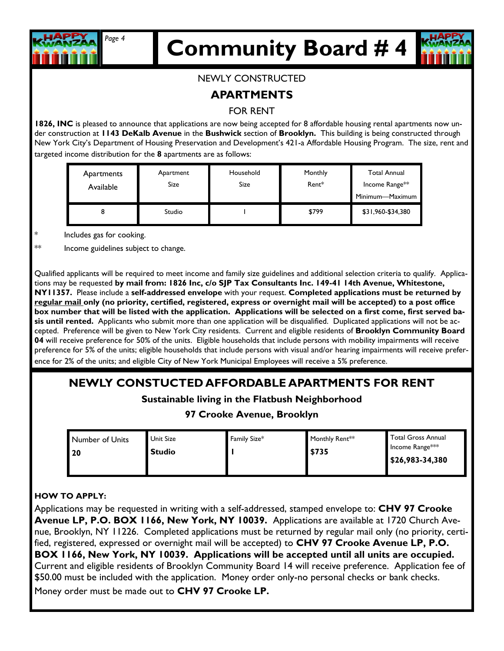

# **Community Board # 4** *Page 4*

#### NEWLY CONSTRUCTED

#### **APARTMENTS**

#### FOR RENT

**1826, INC** is pleased to announce that applications are now being accepted for 8 affordable housing rental apartments now under construction at **1143 DeKalb Avenue** in the **Bushwick** section of **Brooklyn.** This building is being constructed through New York City's Department of Housing Preservation and Development's 421-a Affordable Housing Program. The size, rent and targeted income distribution for the **8** apartments are as follows:

| Apartments<br>Available | Apartment<br>Size | Household<br>Size | Monthly<br>Rent* | <b>Total Annual</b><br>Income Range**<br>Minimum—Maximum |
|-------------------------|-------------------|-------------------|------------------|----------------------------------------------------------|
|                         | Studio            |                   | \$799            | \$31,960-\$34,380                                        |

\* Includes gas for cooking.

\*\* Income guidelines subject to change.

Qualified applicants will be required to meet income and family size guidelines and additional selection criteria to qualify. Applications may be requested **by mail from: 1826 Inc, c/o SJP Tax Consultants Inc. 149-41 14th Avenue, Whitestone, NY11357.** Please include a **self-addressed envelope** with your request. **Completed applications must be returned by regular mail only (no priority, certified, registered, express or overnight mail will be accepted) to a post office box number that will be listed with the application. Applications will be selected on a first come, first served basis until rented.** Applicants who submit more than one application will be disqualified. Duplicated applications will not be accepted. Preference will be given to New York City residents. Current and eligible residents of **Brooklyn Community Board 04** will receive preference for 50% of the units. Eligible households that include persons with mobility impairments will receive preference for 5% of the units; eligible households that include persons with visual and/or hearing impairments will receive preference for 2% of the units; and eligible City of New York Municipal Employees will receive a 5% preference.

#### **NEWLY CONSTUCTED AFFORDABLE APARTMENTS FOR RENT**

#### **Sustainable living in the Flatbush Neighborhood**

#### **97 Crooke Avenue, Brooklyn**

| Number of Units<br>  20 | Unit Size<br><b>Studio</b> | Family Size* | Monthly Rent <sup>**</sup><br>\$735 | <b>Total Gross Annual</b><br>Income Range***<br>$\frac{1}{2}$ \$26,983-34,380 |
|-------------------------|----------------------------|--------------|-------------------------------------|-------------------------------------------------------------------------------|
|-------------------------|----------------------------|--------------|-------------------------------------|-------------------------------------------------------------------------------|

#### **HOW TO APPLY:**

Applications may be requested in writing with a self-addressed, stamped envelope to: **CHV 97 Crooke Avenue LP, P.O. BOX 1166, New York, NY 10039.** Applications are available at 1720 Church Avenue, Brooklyn, NY 11226. Completed applications must be returned by regular mail only (no priority, certified, registered, expressed or overnight mail will be accepted) to **CHV 97 Crooke Avenue LP, P.O. BOX 1166, New York, NY 10039. Applications will be accepted until all units are occupied.**  Current and eligible residents of Brooklyn Community Board 14 will receive preference. Application fee of \$50.00 must be included with the application. Money order only-no personal checks or bank checks. Money order must be made out to **CHV 97 Crooke LP.**